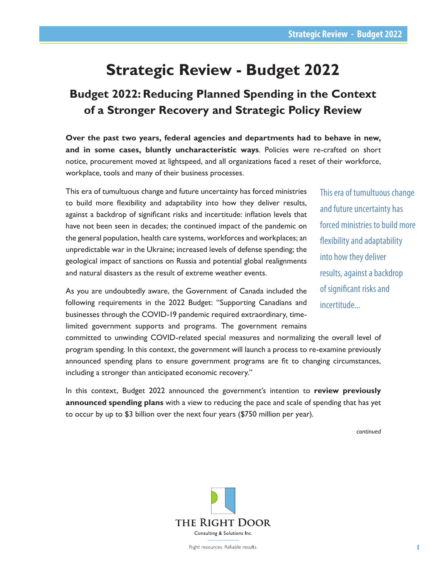# **Strategic Review - Budget 2022**

# **Budget 2022: Reducing Planned Spending in the Context of a Stronger Recovery and Strategic Policy Review**

**Over the past two years, federal agencies and departments had to behave in new, and in some cases, bluntly uncharacteristic ways**. Policies were re-crafted on short notice, procurement moved at lightspeed, and all organizations faced a reset of their workforce, workplace, tools and many of their business processes.

This era of tumultuous change and future uncertainty has forced ministries to build more flexibility and adaptability into how they deliver results, against a backdrop of significant risks and incertitude: inflation levels that have not been seen in decades; the continued impact of the pandemic on the general population, health care systems, workforces and workplaces; an unpredictable war in the Ukraine; increased levels of defense spending; the geological impact of sanctions on Russia and potential global realignments and natural disasters as the result of extreme weather events.

As you are undoubtedly aware, the Government of Canada included the following requirements in the 2022 Budget: "Supporting Canadians and businesses through the COVID-19 pandemic required extraordinary, timelimited government supports and programs. The government remains

This era of tumultuous change and future uncertainty has forced ministries to build more flexibility and adaptability into how they deliver results, against a backdrop of significant risks and incertitude...

committed to unwinding COVID-related special measures and normalizing the overall level of program spending. In this context, the government will launch a process to re-examine previously announced spending plans to ensure government programs are fit to changing circumstances, including a stronger than anticipated economic recovery."

In this context, Budget 2022 announced the government's intention to **review previously announced spending plans** with a view to reducing the pace and scale of spending that has yet to occur by up to \$3 billion over the next four years (\$750 million per year).

*continued*

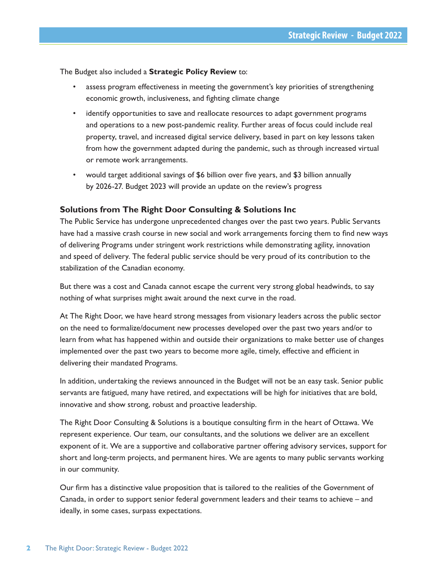The Budget also included a **Strategic Policy Review** to:

- assess program effectiveness in meeting the government's key priorities of strengthening economic growth, inclusiveness, and fighting climate change
- identify opportunities to save and reallocate resources to adapt government programs and operations to a new post-pandemic reality. Further areas of focus could include real property, travel, and increased digital service delivery, based in part on key lessons taken from how the government adapted during the pandemic, such as through increased virtual or remote work arrangements.
- would target additional savings of \$6 billion over five years, and \$3 billion annually by 2026-27. Budget 2023 will provide an update on the review's progress

### **Solutions from The Right Door Consulting & Solutions Inc**

The Public Service has undergone unprecedented changes over the past two years. Public Servants have had a massive crash course in new social and work arrangements forcing them to find new ways of delivering Programs under stringent work restrictions while demonstrating agility, innovation and speed of delivery. The federal public service should be very proud of its contribution to the stabilization of the Canadian economy.

But there was a cost and Canada cannot escape the current very strong global headwinds, to say nothing of what surprises might await around the next curve in the road.

At The Right Door, we have heard strong messages from visionary leaders across the public sector on the need to formalize/document new processes developed over the past two years and/or to learn from what has happened within and outside their organizations to make better use of changes implemented over the past two years to become more agile, timely, effective and efficient in delivering their mandated Programs.

In addition, undertaking the reviews announced in the Budget will not be an easy task. Senior public servants are fatigued, many have retired, and expectations will be high for initiatives that are bold, innovative and show strong, robust and proactive leadership.

The Right Door Consulting & Solutions is a boutique consulting firm in the heart of Ottawa. We represent experience. Our team, our consultants, and the solutions we deliver are an excellent exponent of it. We are a supportive and collaborative partner offering advisory services, support for short and long-term projects, and permanent hires. We are agents to many public servants working in our community.

Our firm has a distinctive value proposition that is tailored to the realities of the Government of Canada, in order to support senior federal government leaders and their teams to achieve – and ideally, in some cases, surpass expectations.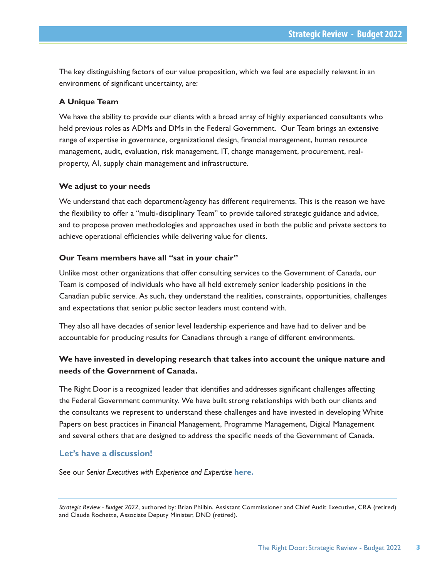The key distinguishing factors of our value proposition, which we feel are especially relevant in an environment of significant uncertainty, are:

#### **A Unique Team**

We have the ability to provide our clients with a broad array of highly experienced consultants who held previous roles as ADMs and DMs in the Federal Government. Our Team brings an extensive range of expertise in governance, organizational design, financial management, human resource management, audit, evaluation, risk management, IT, change management, procurement, realproperty, AI, supply chain management and infrastructure.

#### **We adjust to your needs**

We understand that each department/agency has different requirements. This is the reason we have the flexibility to offer a "multi-disciplinary Team" to provide tailored strategic guidance and advice, and to propose proven methodologies and approaches used in both the public and private sectors to achieve operational efficiencies while delivering value for clients.

#### **Our Team members have all "sat in your chair"**

Unlike most other organizations that offer consulting services to the Government of Canada, our Team is composed of individuals who have all held extremely senior leadership positions in the Canadian public service. As such, they understand the realities, constraints, opportunities, challenges and expectations that senior public sector leaders must contend with.

They also all have decades of senior level leadership experience and have had to deliver and be accountable for producing results for Canadians through a range of different environments.

## **We have invested in developing research that takes into account the unique nature and needs of the Government of Canada.**

The Right Door is a recognized leader that identifies and addresses significant challenges affecting the Federal Government community. We have built strong relationships with both our clients and the consultants we represent to understand these challenges and have invested in developing White Papers on best practices in Financial Management, Programme Management, Digital Management and several others that are designed to address the specific needs of the Government of Canada.

#### **Let's have a discussion!**

See our *Senior Executives with Experience and Expertise* **[here.](http://www.therightdoor.ca/uploads/8/9/0/2/89028706/senior_executives_with_experience_and_expertise_may_2022.pdf)**

*Strategic Review - Budget 2022*, authored by: Brian Philbin, Assistant Commissioner and Chief Audit Executive, CRA (retired) and Claude Rochette, Associate Deputy Minister, DND (retired).